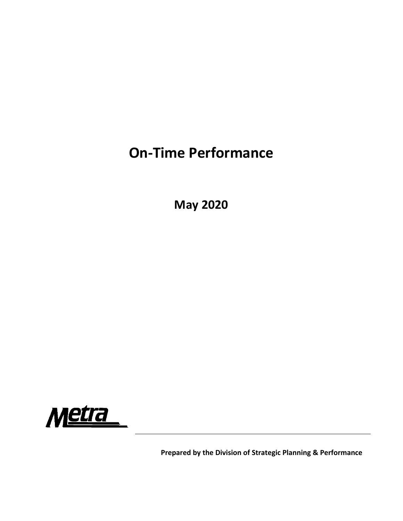## **On‐Time Performance**

**May 2020**



**Prepared by the Division of Strategic Planning & Performance**